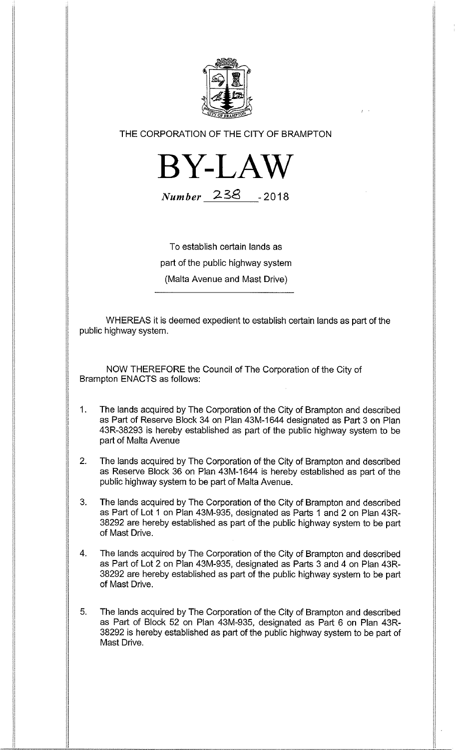

THE CORPORATION OF THE CITY OF BRAMPTON



Number 238 -2018

To establish certain lands as part of the public highway system (Malta Avenue and Mast Drive)

WHEREAS it is deemed expedient to establish certain lands as part of the public highway system.

NOW THEREFORE the Council of The Corporation of the City of Brampton ENACTS as follows:

- $1.$ The lands acquired by The Corporation of the City of Brampton and described as Part of Reserve Block 34 on Plan 43M-1644 designated as Part 3 on Plan 43R-38293 is hereby established as part of the public highway system to be part of Malta Avenue
- 2. The lands acquired by The Corporation of the City of Brampton and described as Reserve Block 36 on Plan 43M-1644 is hereby established as part of the public highway system to be part of Malta Avenue.
- 3. The lands acquired by The Corporation of the City of Brampton and described as Part of Lot 1 on Plan 43M-935, designated as Parts 1 and 2 on Plan 43R-38292 are hereby established as part of the public highway system to be part of Mast Drive.
- 4. The lands acquired by The Corporation of the City of Brampton and described as Part of Lot 2 on Plan 43M-935, designated as Parts 3 and 4 on Plan 43R-38292 are hereby established as part of the public highway system to be part of Mast Drive.
- 5. The lands acquired by The Corporation of the City of Brampton and described as Part of Block 52 on Plan 43M-935, designated as Part 6 on Plan 43R-38292 is hereby established as part of the public highway system to be part of Mast Drive.